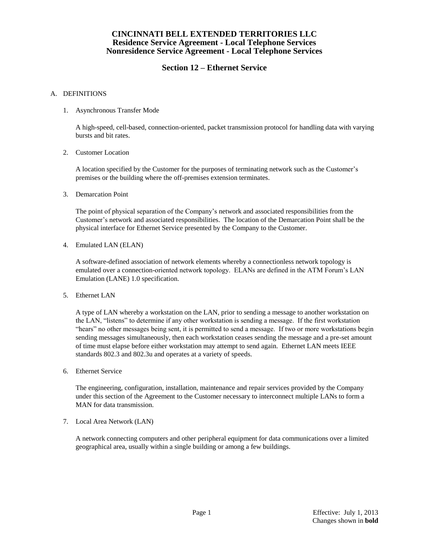# **Section 12 – Ethernet Service**

#### A. DEFINITIONS

1. Asynchronous Transfer Mode

A high-speed, cell-based, connection-oriented, packet transmission protocol for handling data with varying bursts and bit rates.

2. Customer Location

A location specified by the Customer for the purposes of terminating network such as the Customer's premises or the building where the off-premises extension terminates.

3. Demarcation Point

The point of physical separation of the Company's network and associated responsibilities from the Customer's network and associated responsibilities. The location of the Demarcation Point shall be the physical interface for Ethernet Service presented by the Company to the Customer.

4. Emulated LAN (ELAN)

A software-defined association of network elements whereby a connectionless network topology is emulated over a connection-oriented network topology. ELANs are defined in the ATM Forum's LAN Emulation (LANE) 1.0 specification.

5. Ethernet LAN

A type of LAN whereby a workstation on the LAN, prior to sending a message to another workstation on the LAN, "listens" to determine if any other workstation is sending a message. If the first workstation "hears" no other messages being sent, it is permitted to send a message. If two or more workstations begin sending messages simultaneously, then each workstation ceases sending the message and a pre-set amount of time must elapse before either workstation may attempt to send again. Ethernet LAN meets IEEE standards 802.3 and 802.3u and operates at a variety of speeds.

6. Ethernet Service

The engineering, configuration, installation, maintenance and repair services provided by the Company under this section of the Agreement to the Customer necessary to interconnect multiple LANs to form a MAN for data transmission.

7. Local Area Network (LAN)

A network connecting computers and other peripheral equipment for data communications over a limited geographical area, usually within a single building or among a few buildings.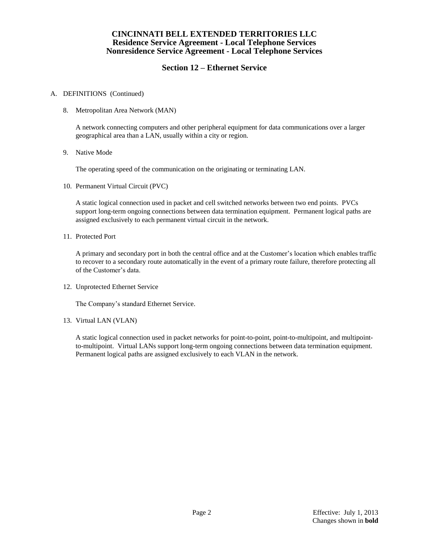# **Section 12 – Ethernet Service**

### A. DEFINITIONS (Continued)

8. Metropolitan Area Network (MAN)

A network connecting computers and other peripheral equipment for data communications over a larger geographical area than a LAN, usually within a city or region.

9. Native Mode

The operating speed of the communication on the originating or terminating LAN.

10. Permanent Virtual Circuit (PVC)

A static logical connection used in packet and cell switched networks between two end points. PVCs support long-term ongoing connections between data termination equipment. Permanent logical paths are assigned exclusively to each permanent virtual circuit in the network.

11. Protected Port

A primary and secondary port in both the central office and at the Customer's location which enables traffic to recover to a secondary route automatically in the event of a primary route failure, therefore protecting all of the Customer's data.

12. Unprotected Ethernet Service

The Company's standard Ethernet Service.

13. Virtual LAN (VLAN)

A static logical connection used in packet networks for point-to-point, point-to-multipoint, and multipointto-multipoint. Virtual LANs support long-term ongoing connections between data termination equipment. Permanent logical paths are assigned exclusively to each VLAN in the network.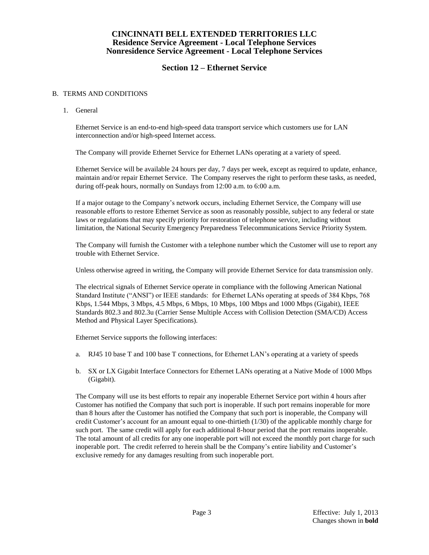# **Section 12 – Ethernet Service**

### B. TERMS AND CONDITIONS

1. General

Ethernet Service is an end-to-end high-speed data transport service which customers use for LAN interconnection and/or high-speed Internet access.

The Company will provide Ethernet Service for Ethernet LANs operating at a variety of speed.

Ethernet Service will be available 24 hours per day, 7 days per week, except as required to update, enhance, maintain and/or repair Ethernet Service. The Company reserves the right to perform these tasks, as needed, during off-peak hours, normally on Sundays from 12:00 a.m. to 6:00 a.m.

If a major outage to the Company's network occurs, including Ethernet Service, the Company will use reasonable efforts to restore Ethernet Service as soon as reasonably possible, subject to any federal or state laws or regulations that may specify priority for restoration of telephone service, including without limitation, the National Security Emergency Preparedness Telecommunications Service Priority System.

The Company will furnish the Customer with a telephone number which the Customer will use to report any trouble with Ethernet Service.

Unless otherwise agreed in writing, the Company will provide Ethernet Service for data transmission only.

The electrical signals of Ethernet Service operate in compliance with the following American National Standard Institute ("ANSI") or IEEE standards: for Ethernet LANs operating at speeds of 384 Kbps, 768 Kbps, 1.544 Mbps, 3 Mbps, 4.5 Mbps, 6 Mbps, 10 Mbps, 100 Mbps and 1000 Mbps (Gigabit), IEEE Standards 802.3 and 802.3u (Carrier Sense Multiple Access with Collision Detection (SMA/CD) Access Method and Physical Layer Specifications).

Ethernet Service supports the following interfaces:

- a. RJ45 10 base T and 100 base T connections, for Ethernet LAN's operating at a variety of speeds
- b. SX or LX Gigabit Interface Connectors for Ethernet LANs operating at a Native Mode of 1000 Mbps (Gigabit).

The Company will use its best efforts to repair any inoperable Ethernet Service port within 4 hours after Customer has notified the Company that such port is inoperable. If such port remains inoperable for more than 8 hours after the Customer has notified the Company that such port is inoperable, the Company will credit Customer's account for an amount equal to one-thirtieth (1/30) of the applicable monthly charge for such port. The same credit will apply for each additional 8-hour period that the port remains inoperable. The total amount of all credits for any one inoperable port will not exceed the monthly port charge for such inoperable port. The credit referred to herein shall be the Company's entire liability and Customer's exclusive remedy for any damages resulting from such inoperable port.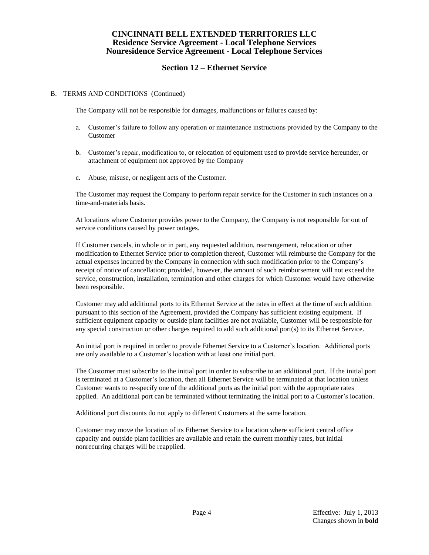# **Section 12 – Ethernet Service**

#### B. TERMS AND CONDITIONS (Continued)

The Company will not be responsible for damages, malfunctions or failures caused by:

- a. Customer's failure to follow any operation or maintenance instructions provided by the Company to the Customer
- b. Customer's repair, modification to, or relocation of equipment used to provide service hereunder, or attachment of equipment not approved by the Company
- c. Abuse, misuse, or negligent acts of the Customer.

The Customer may request the Company to perform repair service for the Customer in such instances on a time-and-materials basis.

At locations where Customer provides power to the Company, the Company is not responsible for out of service conditions caused by power outages.

If Customer cancels, in whole or in part, any requested addition, rearrangement, relocation or other modification to Ethernet Service prior to completion thereof, Customer will reimburse the Company for the actual expenses incurred by the Company in connection with such modification prior to the Company's receipt of notice of cancellation; provided, however, the amount of such reimbursement will not exceed the service, construction, installation, termination and other charges for which Customer would have otherwise been responsible.

Customer may add additional ports to its Ethernet Service at the rates in effect at the time of such addition pursuant to this section of the Agreement, provided the Company has sufficient existing equipment. If sufficient equipment capacity or outside plant facilities are not available, Customer will be responsible for any special construction or other charges required to add such additional port(s) to its Ethernet Service.

An initial port is required in order to provide Ethernet Service to a Customer's location. Additional ports are only available to a Customer's location with at least one initial port.

The Customer must subscribe to the initial port in order to subscribe to an additional port. If the initial port is terminated at a Customer's location, then all Ethernet Service will be terminated at that location unless Customer wants to re-specify one of the additional ports as the initial port with the appropriate rates applied. An additional port can be terminated without terminating the initial port to a Customer's location.

Additional port discounts do not apply to different Customers at the same location.

Customer may move the location of its Ethernet Service to a location where sufficient central office capacity and outside plant facilities are available and retain the current monthly rates, but initial nonrecurring charges will be reapplied.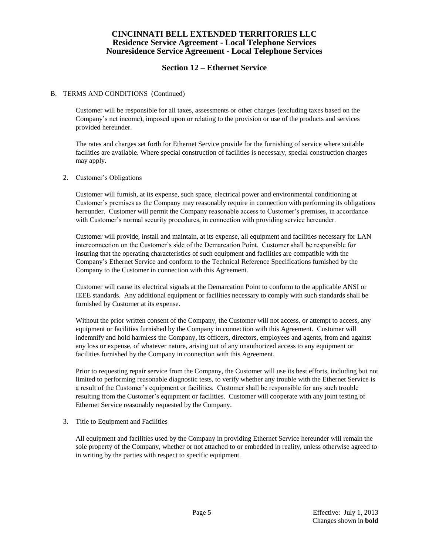# **Section 12 – Ethernet Service**

#### B. TERMS AND CONDITIONS (Continued)

Customer will be responsible for all taxes, assessments or other charges (excluding taxes based on the Company's net income), imposed upon or relating to the provision or use of the products and services provided hereunder.

The rates and charges set forth for Ethernet Service provide for the furnishing of service where suitable facilities are available. Where special construction of facilities is necessary, special construction charges may apply.

#### 2. Customer's Obligations

Customer will furnish, at its expense, such space, electrical power and environmental conditioning at Customer's premises as the Company may reasonably require in connection with performing its obligations hereunder. Customer will permit the Company reasonable access to Customer's premises, in accordance with Customer's normal security procedures, in connection with providing service hereunder.

Customer will provide, install and maintain, at its expense, all equipment and facilities necessary for LAN interconnection on the Customer's side of the Demarcation Point. Customer shall be responsible for insuring that the operating characteristics of such equipment and facilities are compatible with the Company's Ethernet Service and conform to the Technical Reference Specifications furnished by the Company to the Customer in connection with this Agreement.

Customer will cause its electrical signals at the Demarcation Point to conform to the applicable ANSI or IEEE standards. Any additional equipment or facilities necessary to comply with such standards shall be furnished by Customer at its expense.

Without the prior written consent of the Company, the Customer will not access, or attempt to access, any equipment or facilities furnished by the Company in connection with this Agreement. Customer will indemnify and hold harmless the Company, its officers, directors, employees and agents, from and against any loss or expense, of whatever nature, arising out of any unauthorized access to any equipment or facilities furnished by the Company in connection with this Agreement.

Prior to requesting repair service from the Company, the Customer will use its best efforts, including but not limited to performing reasonable diagnostic tests, to verify whether any trouble with the Ethernet Service is a result of the Customer's equipment or facilities. Customer shall be responsible for any such trouble resulting from the Customer's equipment or facilities. Customer will cooperate with any joint testing of Ethernet Service reasonably requested by the Company.

3. Title to Equipment and Facilities

All equipment and facilities used by the Company in providing Ethernet Service hereunder will remain the sole property of the Company, whether or not attached to or embedded in reality, unless otherwise agreed to in writing by the parties with respect to specific equipment.